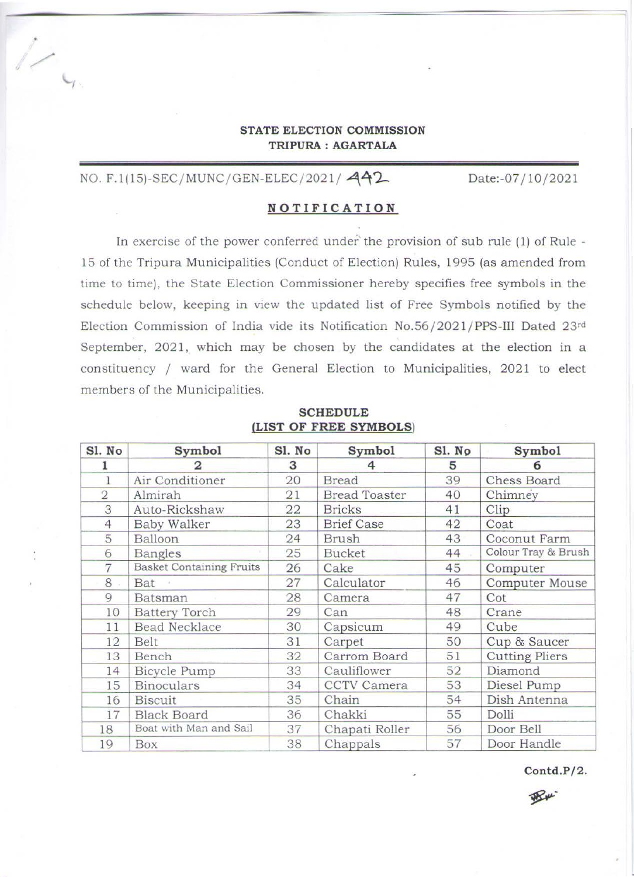## **STATE ELECTION COMMISSION TRIPURA : AGARTALA**

# NO. F.1(15)-SEC/MUNC/ GEN-ELEC/ 2021/ $442$

 $\overline{\phantom{a}}$ 

I

Date:-07 /10/2021

## **NOTIFICATION**

In exercise of the power conferred under' the provision of sub rule (1) of Rule - 15 of the Tripura Municipalities (Conduct of Election) Rules, 1995 (as amended from time to time), the State Election Commissioner hereby specifies free symbols in the schedule below, keeping in view the updated list of Free Symbols notified by the Election Commission of India vide its Notification No.56/2021/PPS-III Dated 23rd September, 2021, which may be chosen by the candidates at the election in a constituency / ward for the General Election to Municipalities, 2021 to elect members of the Municipalities.

| Sl. No         | Symbol                          | Sl. No | Symbol               | Sl. No | <b>Symbol</b>         |  |
|----------------|---------------------------------|--------|----------------------|--------|-----------------------|--|
|                |                                 | 3      | 4                    | 5      | 6                     |  |
|                | Air Conditioner                 | 20     | <b>Bread</b>         | 39     | <b>Chess Board</b>    |  |
| $\overline{2}$ | Almirah                         | 21     | <b>Bread Toaster</b> | 40     | Chimney               |  |
| 3              | Auto-Rickshaw                   | 22     | <b>Bricks</b>        | 41     | Clip                  |  |
| $\overline{4}$ | <b>Baby Walker</b>              | 23     | <b>Brief Case</b>    | 42     | Coat                  |  |
| 5              | Balloon                         | 24     | <b>Brush</b>         | 43     | Coconut Farm          |  |
| 6              | <b>Bangles</b>                  | 25     | <b>Bucket</b>        | 44     | Colour Tray & Brush   |  |
| $\overline{7}$ | <b>Basket Containing Fruits</b> | 26     | Cake                 | 45     | Computer              |  |
| 8              | Bat                             | 27     | Calculator           | 46     | Computer Mouse        |  |
| 9              | Batsman                         | 28     | Camera               | 47     | Cot                   |  |
| 10             | <b>Battery Torch</b>            | 29     | Can                  | 48     | Crane                 |  |
| 11             | <b>Bead Necklace</b>            | 30     | Capsicum             | 49     | Cube                  |  |
| 12             | Belt                            | 31     | Carpet               | 50     | Cup & Saucer          |  |
| 13             | Bench                           | 32     | Carrom Board         | 51     | <b>Cutting Pliers</b> |  |
| 14             | Bicycle Pump                    | 33     | Cauliflower          | 52     | Diamond               |  |
| 15             | <b>Binoculars</b>               | 34     | CCTV Camera          | 53     | Diesel Pump           |  |
| 16             | <b>Biscuit</b>                  | 35     | Chain                | 54     | Dish Antenna          |  |
| 17             | <b>Black Board</b>              | 36     | Chakki               | 55     | Dolli                 |  |
| 18             | Boat with Man and Sail          | 37     | Chapati Roller       | 56     | Door Bell             |  |
| 19             | Box                             | 38     | Chappals             | 57     | Door Handle           |  |

### **SCHEDULE (LIST OF FREE SYMBOLS)**

**Contd.P/2.** 

W W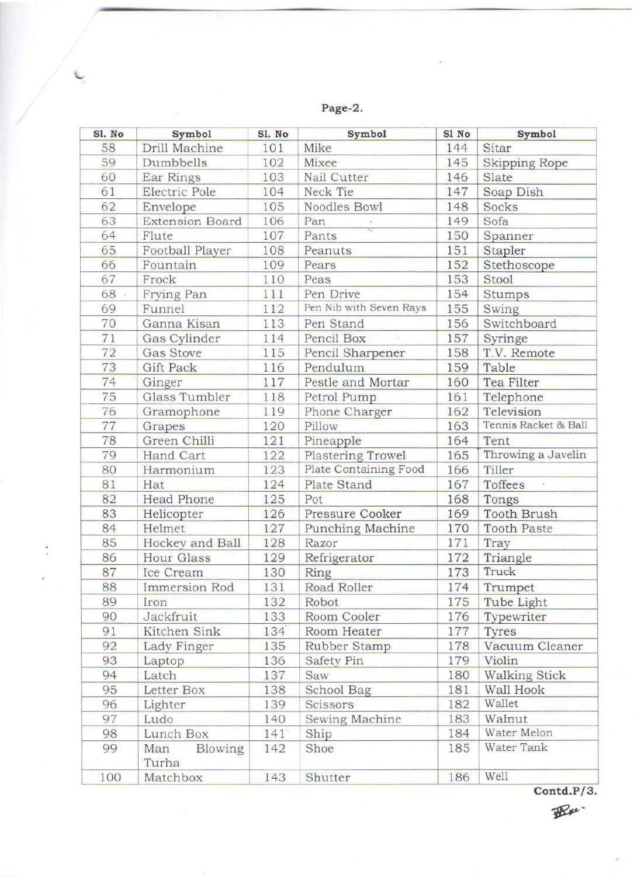**Page -2 .** 

| Sl. No | Symbol                  | Sl. No | <b>Symbol</b>            | Sl No | Symbol               |
|--------|-------------------------|--------|--------------------------|-------|----------------------|
| 58     | Drill Machine           | 101    | Mike                     | 144   | Sitar                |
| 59     | Dumbbells               | 102    | Mixee                    | 145   | <b>Skipping Rope</b> |
| 60     | Ear Rings               | 103    | Nail Cutter              | 146   | Slate                |
| 61     | Electric Pole           | 104    | Neck Tie                 | 147   | Soap Dish            |
| 62     | Envelope                | 105    | Noodles Bowl             | 148   | Socks                |
| 63     | <b>Extension Board</b>  | 106    | Pan                      | 149   | Sofa                 |
| 64     | Flute                   | 107    | Pants                    | 150   | Spanner              |
| 65     | Football Player         | 108    | Peanuts                  | 151   | Stapler              |
| 66     | Fountain                | 109    | Pears                    | 152   | Stethoscope          |
| 67     | Frock                   | 110    | Peas                     | 153   | Stool                |
| 68     | Frying Pan              | 111    | Pen Drive                | 154   | Stumps               |
| 69     | Funnel                  | 112    | Pen Nib with Seven Rays  | 155   | Swing                |
| 70     | Ganna Kisan             | 113    | Pen Stand                | 156   | Switchboard          |
| 71     | Gas Cylinder            | 114    | Pencil Box               | 157   | Syringe              |
| 72     | <b>Gas Stove</b>        | 115    | Pencil Sharpener         | 158   | T.V. Remote          |
| 73     | <b>Gift Pack</b>        | 116    | Pendulum                 | 159   | Table                |
| 74     | Ginger                  | 117    | Pestle and Mortar        | 160   | Tea Filter           |
| 75     | Glass Tumbler           | 118    | Petrol Pump              | 161   | Telephone            |
| 76     | Gramophone              | 119    | Phone Charger            | 162   | Television           |
| 77     | Grapes                  | 120    | Pillow                   | 163   | Tennis Racket & Ball |
| 78     | Green Chilli            | 121    | Pineapple                | 164   | Tent                 |
| 79     | Hand Cart               | 122    | <b>Plastering Trowel</b> | 165   | Throwing a Javelin   |
| 80     | Harmonium               | 123    | Plate Containing Food    | 166   | Tiller               |
| 81     | Hat                     | 124    | Plate Stand              | 167   | Toffees              |
| 82     | <b>Head Phone</b>       | 125    | Pot                      | 168   | Tongs                |
| 83     | Helicopter              | 126    | Pressure Cooker          | 169   | <b>Tooth Brush</b>   |
| 84     | Helmet                  | 127    | <b>Punching Machine</b>  | 170   | <b>Tooth Paste</b>   |
| 85     | Hockey and Ball         | 128    | Razor                    | 171   | Tray                 |
| 86     | Hour Glass              | 129    | Refrigerator             | 172   | Triangle             |
| 87     | Ice Cream               | 130    | Ring                     | 173   | Truck                |
| 88     | Immersion Rod           | 131    | Road Roller              | 174   | Trumpet              |
| 89     | Iron                    | 132    | Robot                    | 175   | Tube Light           |
| 90     | Jackfruit               | 133    | Room Cooler              | 176   | Typewriter           |
| 91     | Kitchen Sink            | 134    | Room Heater              | 177   | Tyres                |
| 92     | Lady Finger             | 135    | Rubber Stamp             | 178   | Vacuum Cleaner       |
| 93     | Laptop                  | 136    | Safety Pin               | 179   | Violin               |
| 94     | Latch                   | 137    | Saw                      | 180   | <b>Walking Stick</b> |
| 95     | Letter Box              | 138    | School Bag               | 181   | Wall Hook            |
| 96     | Lighter                 | 139    | Scissors                 | 182   | Wallet               |
| 97     | Ludo                    | 140    | Sewing Machine           | 183   | Walnut               |
| 98     | Lunch Box               | 141    | Ship                     | 184   | Water Melon          |
| 99     | Blowing<br>Man<br>Turha | 142    | Shoe                     | 185   | Water Tank           |
| 100    | Matchbox                | 143    | Shutter                  | 186   | Well                 |

Í

**Contd.P/3.**<br> **B**